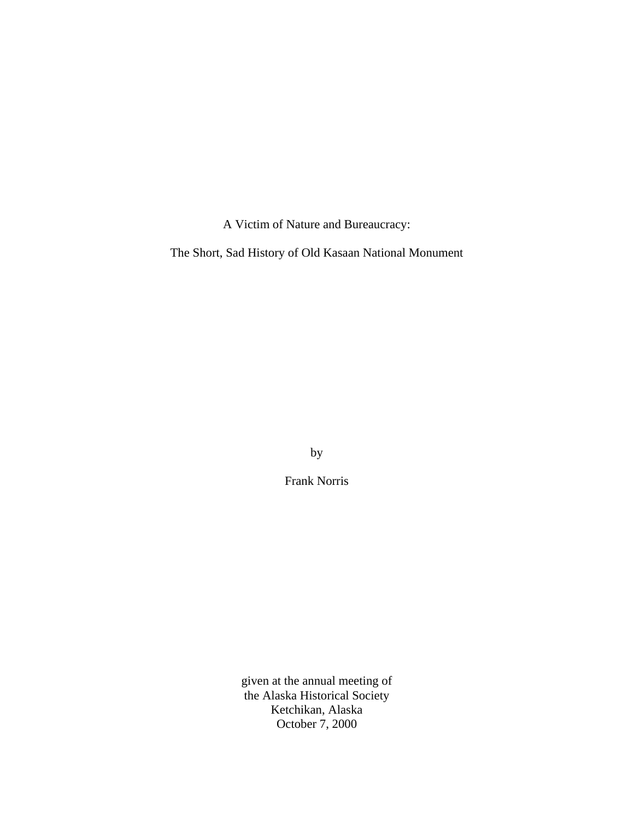A Victim of Nature and Bureaucracy:

The Short, Sad History of Old Kasaan National Monument

by

Frank Norris

given at the annual meeting of the Alaska Historical Society Ketchikan, Alaska October 7, 2000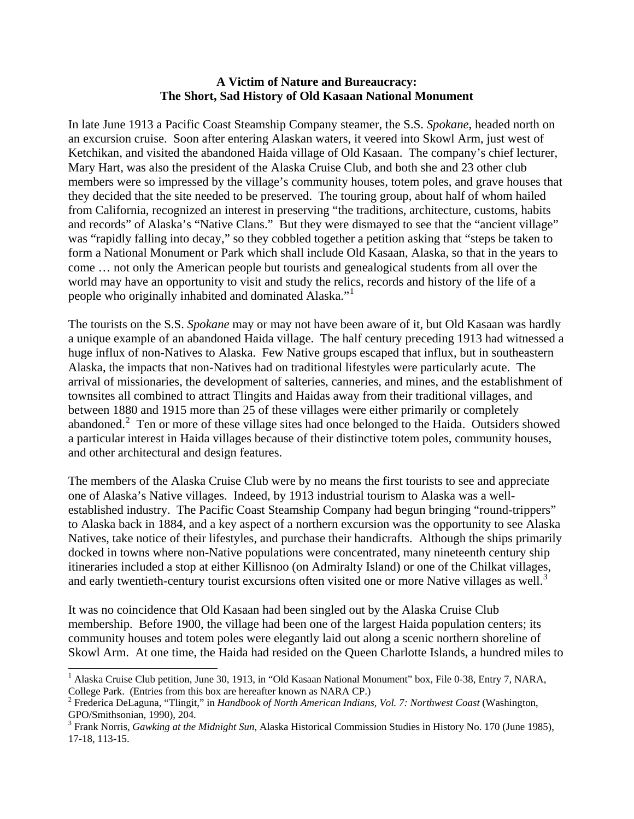## **A Victim of Nature and Bureaucracy: The Short, Sad History of Old Kasaan National Monument**

In late June 1913 a Pacific Coast Steamship Company steamer, the S.S. *Spokane*, headed north on an excursion cruise. Soon after entering Alaskan waters, it veered into Skowl Arm, just west of Ketchikan, and visited the abandoned Haida village of Old Kasaan. The company's chief lecturer, Mary Hart, was also the president of the Alaska Cruise Club, and both she and 23 other club members were so impressed by the village's community houses, totem poles, and grave houses that they decided that the site needed to be preserved. The touring group, about half of whom hailed from California, recognized an interest in preserving "the traditions, architecture, customs, habits and records" of Alaska's "Native Clans." But they were dismayed to see that the "ancient village" was "rapidly falling into decay," so they cobbled together a petition asking that "steps be taken to form a National Monument or Park which shall include Old Kasaan, Alaska, so that in the years to come … not only the American people but tourists and genealogical students from all over the world may have an opportunity to visit and study the relics, records and history of the life of a people who originally inhabited and dominated Alaska."<sup>[1](#page-1-0)</sup>

The tourists on the S.S. *Spokane* may or may not have been aware of it, but Old Kasaan was hardly a unique example of an abandoned Haida village. The half century preceding 1913 had witnessed a huge influx of non-Natives to Alaska. Few Native groups escaped that influx, but in southeastern Alaska, the impacts that non-Natives had on traditional lifestyles were particularly acute. The arrival of missionaries, the development of salteries, canneries, and mines, and the establishment of townsites all combined to attract Tlingits and Haidas away from their traditional villages, and between 1880 and 1915 more than 25 of these villages were either primarily or completely abandoned.<sup>[2](#page-1-1)</sup> Ten or more of these village sites had once belonged to the Haida. Outsiders showed a particular interest in Haida villages because of their distinctive totem poles, community houses, and other architectural and design features.

The members of the Alaska Cruise Club were by no means the first tourists to see and appreciate one of Alaska's Native villages. Indeed, by 1913 industrial tourism to Alaska was a wellestablished industry. The Pacific Coast Steamship Company had begun bringing "round-trippers" to Alaska back in 1884, and a key aspect of a northern excursion was the opportunity to see Alaska Natives, take notice of their lifestyles, and purchase their handicrafts. Although the ships primarily docked in towns where non-Native populations were concentrated, many nineteenth century ship itineraries included a stop at either Killisnoo (on Admiralty Island) or one of the Chilkat villages, and early twentieth-century tourist excursions often visited one or more Native villages as well.<sup>[3](#page-1-2)</sup>

It was no coincidence that Old Kasaan had been singled out by the Alaska Cruise Club membership. Before 1900, the village had been one of the largest Haida population centers; its community houses and totem poles were elegantly laid out along a scenic northern shoreline of Skowl Arm. At one time, the Haida had resided on the Queen Charlotte Islands, a hundred miles to

 $\overline{a}$ 

<span id="page-1-0"></span><sup>&</sup>lt;sup>1</sup> Alaska Cruise Club petition, June 30, 1913, in "Old Kasaan National Monument" box, File 0-38, Entry 7, NARA, College Park. (Entries from this box are hereafter known as NARA CP.)

<span id="page-1-1"></span><sup>2</sup> Frederica DeLaguna, "Tlingit," in *Handbook of North American Indians, Vol. 7: Northwest Coast* (Washington, GPO/Smithsonian, 1990), 204.

<span id="page-1-2"></span><sup>3</sup> Frank Norris, *Gawking at the Midnight Sun*, Alaska Historical Commission Studies in History No. 170 (June 1985), 17-18, 113-15.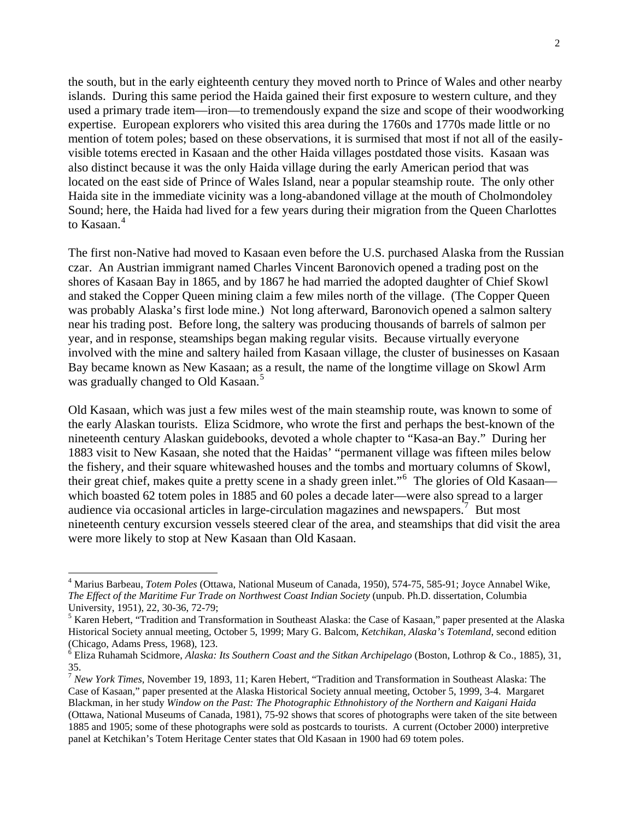the south, but in the early eighteenth century they moved north to Prince of Wales and other nearby islands. During this same period the Haida gained their first exposure to western culture, and they used a primary trade item—iron—to tremendously expand the size and scope of their woodworking expertise. European explorers who visited this area during the 1760s and 1770s made little or no mention of totem poles; based on these observations, it is surmised that most if not all of the easilyvisible totems erected in Kasaan and the other Haida villages postdated those visits. Kasaan was also distinct because it was the only Haida village during the early American period that was located on the east side of Prince of Wales Island, near a popular steamship route. The only other Haida site in the immediate vicinity was a long-abandoned village at the mouth of Cholmondoley Sound; here, the Haida had lived for a few years during their migration from the Queen Charlottes to Kasaan.<sup>[4](#page-2-0)</sup>

The first non-Native had moved to Kasaan even before the U.S. purchased Alaska from the Russian czar. An Austrian immigrant named Charles Vincent Baronovich opened a trading post on the shores of Kasaan Bay in 1865, and by 1867 he had married the adopted daughter of Chief Skowl and staked the Copper Queen mining claim a few miles north of the village. (The Copper Queen was probably Alaska's first lode mine.) Not long afterward, Baronovich opened a salmon saltery near his trading post. Before long, the saltery was producing thousands of barrels of salmon per year, and in response, steamships began making regular visits. Because virtually everyone involved with the mine and saltery hailed from Kasaan village, the cluster of businesses on Kasaan Bay became known as New Kasaan; as a result, the name of the longtime village on Skowl Arm was gradually changed to Old Kasaan.<sup>[5](#page-2-1)</sup>

Old Kasaan, which was just a few miles west of the main steamship route, was known to some of the early Alaskan tourists. Eliza Scidmore, who wrote the first and perhaps the best-known of the nineteenth century Alaskan guidebooks, devoted a whole chapter to "Kasa-an Bay." During her 1883 visit to New Kasaan, she noted that the Haidas' "permanent village was fifteen miles below the fishery, and their square whitewashed houses and the tombs and mortuary columns of Skowl, their great chief, makes quite a pretty scene in a shady green inlet."<sup>[6](#page-2-2)</sup> The glories of Old Kasaan which boasted 62 totem poles in 1885 and 60 poles a decade later—were also spread to a larger audience via occasional articles in large-circulation magazines and newspapers.<sup>[7](#page-2-3)</sup> But most nineteenth century excursion vessels steered clear of the area, and steamships that did visit the area were more likely to stop at New Kasaan than Old Kasaan.

<span id="page-2-0"></span><sup>4</sup> Marius Barbeau, *Totem Poles* (Ottawa, National Museum of Canada, 1950), 574-75, 585-91; Joyce Annabel Wike, *The Effect of the Maritime Fur Trade on Northwest Coast Indian Society* (unpub. Ph.D. dissertation, Columbia University, 1951), 22, 30-36, 72-79;

<span id="page-2-1"></span><sup>&</sup>lt;sup>5</sup> Karen Hebert, "Tradition and Transformation in Southeast Alaska: the Case of Kasaan," paper presented at the Alaska Historical Society annual meeting, October 5, 1999; Mary G. Balcom, *Ketchikan, Alaska's Totemland*, second edition (Chicago, Adams Press, 1968), 123.

<span id="page-2-2"></span><sup>6</sup> Eliza Ruhamah Scidmore, *Alaska: Its Southern Coast and the Sitkan Archipelago* (Boston, Lothrop & Co., 1885), 31, 35.

<span id="page-2-3"></span><sup>7</sup> *New York Times*, November 19, 1893, 11; Karen Hebert, "Tradition and Transformation in Southeast Alaska: The Case of Kasaan," paper presented at the Alaska Historical Society annual meeting, October 5, 1999, 3-4. Margaret Blackman, in her study *Window on the Past: The Photographic Ethnohistory of the Northern and Kaigani Haida* (Ottawa, National Museums of Canada, 1981), 75-92 shows that scores of photographs were taken of the site between 1885 and 1905; some of these photographs were sold as postcards to tourists. A current (October 2000) interpretive panel at Ketchikan's Totem Heritage Center states that Old Kasaan in 1900 had 69 totem poles.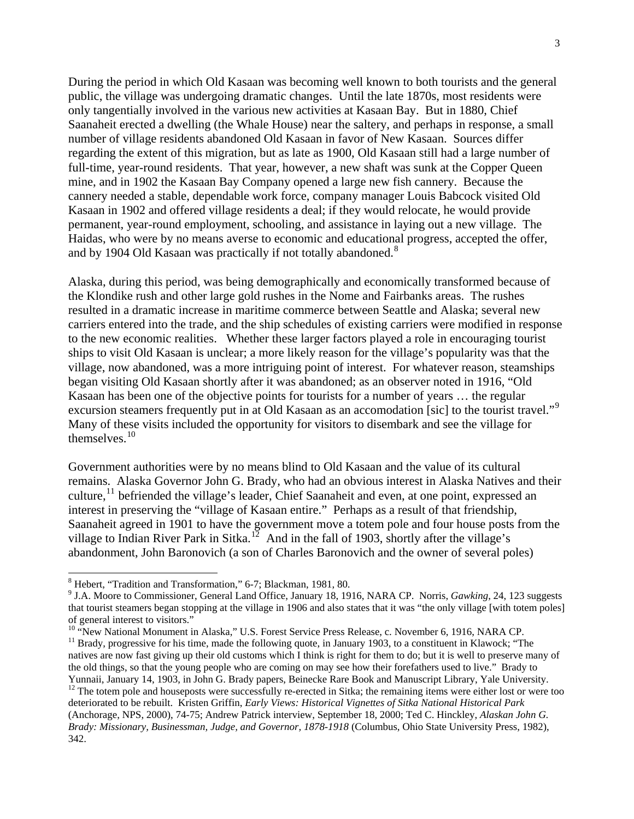During the period in which Old Kasaan was becoming well known to both tourists and the general public, the village was undergoing dramatic changes. Until the late 1870s, most residents were only tangentially involved in the various new activities at Kasaan Bay. But in 1880, Chief Saanaheit erected a dwelling (the Whale House) near the saltery, and perhaps in response, a small number of village residents abandoned Old Kasaan in favor of New Kasaan. Sources differ regarding the extent of this migration, but as late as 1900, Old Kasaan still had a large number of full-time, year-round residents. That year, however, a new shaft was sunk at the Copper Queen mine, and in 1902 the Kasaan Bay Company opened a large new fish cannery. Because the cannery needed a stable, dependable work force, company manager Louis Babcock visited Old Kasaan in 1902 and offered village residents a deal; if they would relocate, he would provide permanent, year-round employment, schooling, and assistance in laying out a new village. The Haidas, who were by no means averse to economic and educational progress, accepted the offer, and by 1904 Old Kasaan was practically if not totally abandoned.<sup>[8](#page-3-0)</sup>

Alaska, during this period, was being demographically and economically transformed because of the Klondike rush and other large gold rushes in the Nome and Fairbanks areas. The rushes resulted in a dramatic increase in maritime commerce between Seattle and Alaska; several new carriers entered into the trade, and the ship schedules of existing carriers were modified in response to the new economic realities. Whether these larger factors played a role in encouraging tourist ships to visit Old Kasaan is unclear; a more likely reason for the village's popularity was that the village, now abandoned, was a more intriguing point of interest. For whatever reason, steamships began visiting Old Kasaan shortly after it was abandoned; as an observer noted in 1916, "Old Kasaan has been one of the objective points for tourists for a number of years … the regular excursion steamers frequently put in at Old Kasaan as an accomodation [sic] to the tourist travel."<sup>[9](#page-3-1)</sup> Many of these visits included the opportunity for visitors to disembark and see the village for themselves.[10](#page-3-2)

Government authorities were by no means blind to Old Kasaan and the value of its cultural remains. Alaska Governor John G. Brady, who had an obvious interest in Alaska Natives and their culture,  $^{11}$  $^{11}$  $^{11}$  befriended the village's leader, Chief Saanaheit and even, at one point, expressed an interest in preserving the "village of Kasaan entire." Perhaps as a result of that friendship, Saanaheit agreed in 1901 to have the government move a totem pole and four house posts from the village to Indian River Park in Sitka.<sup>[12](#page-3-4)</sup> And in the fall of 1903, shortly after the village's abandonment, John Baronovich (a son of Charles Baronovich and the owner of several poles)

-

<span id="page-3-4"></span><span id="page-3-3"></span><span id="page-3-2"></span> $11$  Brady, progressive for his time, made the following quote, in January 1903, to a constituent in Klawock; "The natives are now fast giving up their old customs which I think is right for them to do; but it is well to preserve many of the old things, so that the young people who are coming on may see how their forefathers used to live." Brady to Yunnaii, January 14, 1903, in John G. Brady papers, Beinecke Rare Book and Manuscript Library, Yale University.<br><sup>12</sup> The totem pole and houseposts were successfully re-erected in Sitka; the remaining items were either lost deteriorated to be rebuilt. Kristen Griffin, *Early Views: Historical Vignettes of Sitka National Historical Park* (Anchorage, NPS, 2000), 74-75; Andrew Patrick interview, September 18, 2000; Ted C. Hinckley, *Alaskan John G. Brady: Missionary, Businessman, Judge, and Governor, 1878-1918* (Columbus, Ohio State University Press, 1982), 342.

<span id="page-3-0"></span><sup>8</sup> Hebert, "Tradition and Transformation," 6-7; Blackman, 1981, 80.

<span id="page-3-1"></span><sup>9</sup> J.A. Moore to Commissioner, General Land Office, January 18, 1916, NARA CP. Norris, *Gawking*, 24, 123 suggests that tourist steamers began stopping at the village in 1906 and also states that it was "the only village [with totem poles] of general interest to visitors."<br>
<sup>10</sup> "New National Monument in Alaska," U.S. Forest Service Press Release, c. November 6, 1916, NARA CP.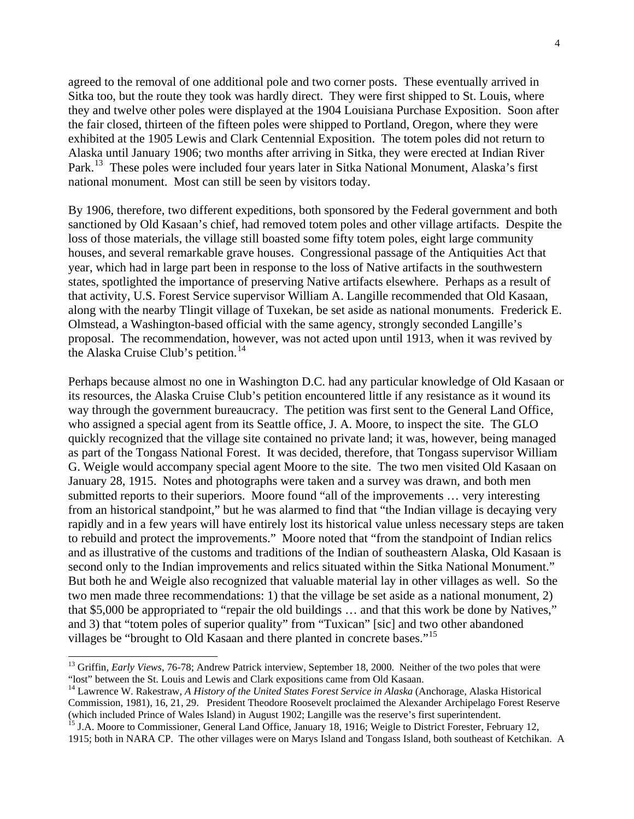agreed to the removal of one additional pole and two corner posts. These eventually arrived in Sitka too, but the route they took was hardly direct. They were first shipped to St. Louis, where they and twelve other poles were displayed at the 1904 Louisiana Purchase Exposition. Soon after the fair closed, thirteen of the fifteen poles were shipped to Portland, Oregon, where they were exhibited at the 1905 Lewis and Clark Centennial Exposition. The totem poles did not return to Alaska until January 1906; two months after arriving in Sitka, they were erected at Indian River Park.<sup>[13](#page-4-0)</sup> These poles were included four years later in Sitka National Monument, Alaska's first national monument. Most can still be seen by visitors today.

By 1906, therefore, two different expeditions, both sponsored by the Federal government and both sanctioned by Old Kasaan's chief, had removed totem poles and other village artifacts. Despite the loss of those materials, the village still boasted some fifty totem poles, eight large community houses, and several remarkable grave houses. Congressional passage of the Antiquities Act that year, which had in large part been in response to the loss of Native artifacts in the southwestern states, spotlighted the importance of preserving Native artifacts elsewhere. Perhaps as a result of that activity, U.S. Forest Service supervisor William A. Langille recommended that Old Kasaan, along with the nearby Tlingit village of Tuxekan, be set aside as national monuments. Frederick E. Olmstead, a Washington-based official with the same agency, strongly seconded Langille's proposal. The recommendation, however, was not acted upon until 1913, when it was revived by the Alaska Cruise Club's petition.<sup>[14](#page-4-1)</sup>

Perhaps because almost no one in Washington D.C. had any particular knowledge of Old Kasaan or its resources, the Alaska Cruise Club's petition encountered little if any resistance as it wound its way through the government bureaucracy. The petition was first sent to the General Land Office, who assigned a special agent from its Seattle office, J. A. Moore, to inspect the site. The GLO quickly recognized that the village site contained no private land; it was, however, being managed as part of the Tongass National Forest. It was decided, therefore, that Tongass supervisor William G. Weigle would accompany special agent Moore to the site. The two men visited Old Kasaan on January 28, 1915. Notes and photographs were taken and a survey was drawn, and both men submitted reports to their superiors. Moore found "all of the improvements … very interesting from an historical standpoint," but he was alarmed to find that "the Indian village is decaying very rapidly and in a few years will have entirely lost its historical value unless necessary steps are taken to rebuild and protect the improvements." Moore noted that "from the standpoint of Indian relics and as illustrative of the customs and traditions of the Indian of southeastern Alaska, Old Kasaan is second only to the Indian improvements and relics situated within the Sitka National Monument." But both he and Weigle also recognized that valuable material lay in other villages as well. So the two men made three recommendations: 1) that the village be set aside as a national monument, 2) that \$5,000 be appropriated to "repair the old buildings … and that this work be done by Natives," and 3) that "totem poles of superior quality" from "Tuxican" [sic] and two other abandoned villages be "brought to Old Kasaan and there planted in concrete bases."[15](#page-4-2)

<span id="page-4-0"></span><sup>&</sup>lt;sup>13</sup> Griffin, *Early Views*, 76-78; Andrew Patrick interview, September 18, 2000. Neither of the two poles that were "lost" between the St. Louis and Lewis and Clark expositions came from Old Kasaan.

<span id="page-4-1"></span><sup>&</sup>lt;sup>14</sup> Lawrence W. Rakestraw, *A History of the United States Forest Service in Alaska* (Anchorage, Alaska Historical Commission, 1981), 16, 21, 29. President Theodore Roosevelt proclaimed the Alexander Archipelago Forest Reserve

<span id="page-4-2"></span><sup>&</sup>lt;sup>15</sup> J.A. Moore to Commissioner, General Land Office, January 18, 1916; Weigle to District Forester, February 12, 1915; both in NARA CP. The other villages were on Marys Island and Tongass Island, both southeast of Ketchikan. A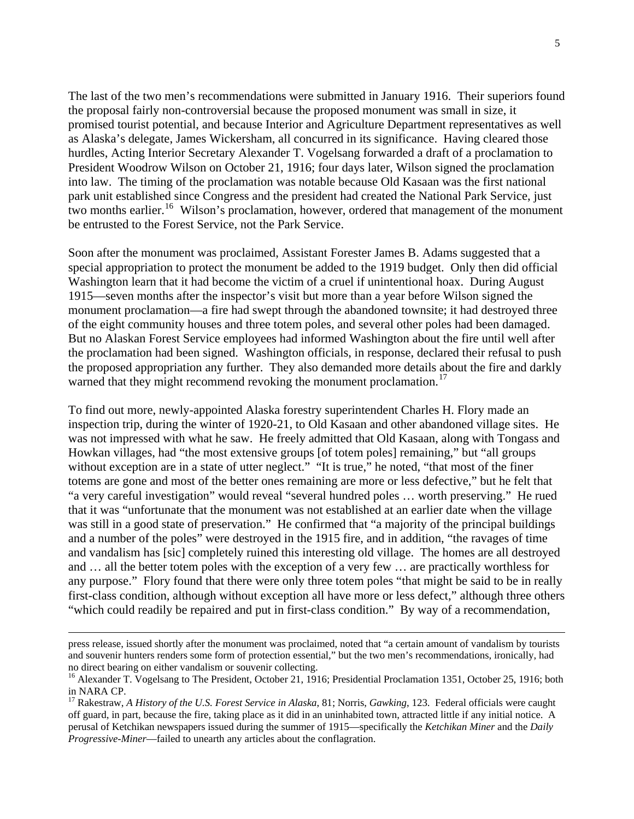The last of the two men's recommendations were submitted in January 1916. Their superiors found the proposal fairly non-controversial because the proposed monument was small in size, it promised tourist potential, and because Interior and Agriculture Department representatives as well as Alaska's delegate, James Wickersham, all concurred in its significance. Having cleared those hurdles, Acting Interior Secretary Alexander T. Vogelsang forwarded a draft of a proclamation to President Woodrow Wilson on October 21, 1916; four days later, Wilson signed the proclamation into law. The timing of the proclamation was notable because Old Kasaan was the first national park unit established since Congress and the president had created the National Park Service, just two months earlier.<sup>[16](#page-5-0)</sup> Wilson's proclamation, however, ordered that management of the monument be entrusted to the Forest Service, not the Park Service.

Soon after the monument was proclaimed, Assistant Forester James B. Adams suggested that a special appropriation to protect the monument be added to the 1919 budget. Only then did official Washington learn that it had become the victim of a cruel if unintentional hoax. During August 1915—seven months after the inspector's visit but more than a year before Wilson signed the monument proclamation—a fire had swept through the abandoned townsite; it had destroyed three of the eight community houses and three totem poles, and several other poles had been damaged. But no Alaskan Forest Service employees had informed Washington about the fire until well after the proclamation had been signed. Washington officials, in response, declared their refusal to push the proposed appropriation any further. They also demanded more details about the fire and darkly warned that they might recommend revoking the monument proclamation.<sup>[17](#page-5-1)</sup>

To find out more, newly-appointed Alaska forestry superintendent Charles H. Flory made an inspection trip, during the winter of 1920-21, to Old Kasaan and other abandoned village sites. He was not impressed with what he saw. He freely admitted that Old Kasaan, along with Tongass and Howkan villages, had "the most extensive groups [of totem poles] remaining," but "all groups without exception are in a state of utter neglect." "It is true," he noted, "that most of the finer totems are gone and most of the better ones remaining are more or less defective," but he felt that "a very careful investigation" would reveal "several hundred poles … worth preserving." He rued that it was "unfortunate that the monument was not established at an earlier date when the village was still in a good state of preservation." He confirmed that "a majority of the principal buildings and a number of the poles" were destroyed in the 1915 fire, and in addition, "the ravages of time and vandalism has [sic] completely ruined this interesting old village. The homes are all destroyed and … all the better totem poles with the exception of a very few … are practically worthless for any purpose." Flory found that there were only three totem poles "that might be said to be in really first-class condition, although without exception all have more or less defect," although three others "which could readily be repaired and put in first-class condition." By way of a recommendation,

 $\overline{a}$ 

press release, issued shortly after the monument was proclaimed, noted that "a certain amount of vandalism by tourists and souvenir hunters renders some form of protection essential," but the two men's recommendations, ironically, had no direct bearing on either vandalism or souvenir collecting.

<span id="page-5-0"></span><sup>&</sup>lt;sup>16</sup> Alexander T. Vogelsang to The President, October 21, 1916; Presidential Proclamation 1351, October 25, 1916; both in NARA CP.

<span id="page-5-1"></span><sup>17</sup> Rakestraw, *A History of the U.S. Forest Service in Alaska*, 81; Norris, *Gawking*, 123. Federal officials were caught off guard, in part, because the fire, taking place as it did in an uninhabited town, attracted little if any initial notice. A perusal of Ketchikan newspapers issued during the summer of 1915—specifically the *Ketchikan Miner* and the *Daily Progressive-Miner*—failed to unearth any articles about the conflagration.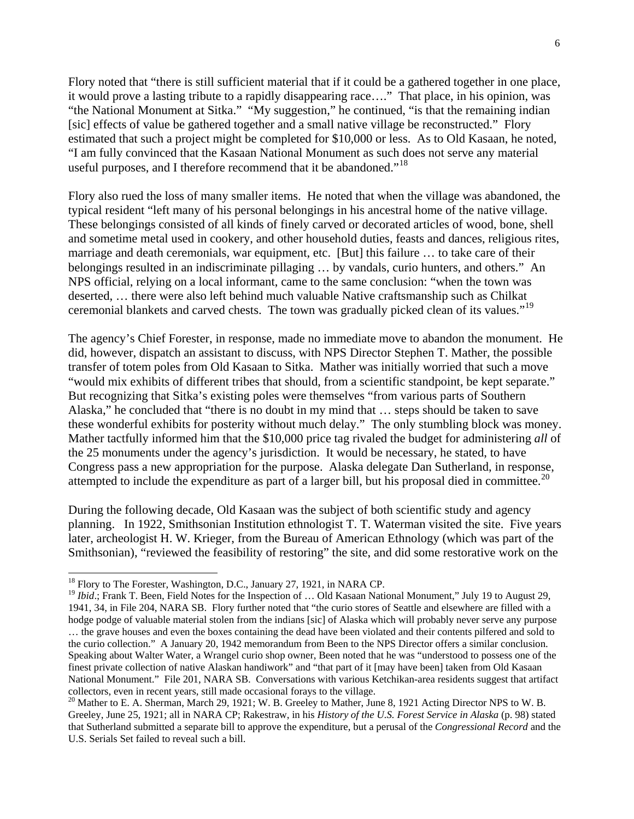Flory noted that "there is still sufficient material that if it could be a gathered together in one place, it would prove a lasting tribute to a rapidly disappearing race…." That place, in his opinion, was "the National Monument at Sitka." "My suggestion," he continued, "is that the remaining indian [sic] effects of value be gathered together and a small native village be reconstructed." Flory estimated that such a project might be completed for \$10,000 or less. As to Old Kasaan, he noted, "I am fully convinced that the Kasaan National Monument as such does not serve any material useful purposes, and I therefore recommend that it be abandoned."<sup>[18](#page-6-0)</sup>

Flory also rued the loss of many smaller items. He noted that when the village was abandoned, the typical resident "left many of his personal belongings in his ancestral home of the native village. These belongings consisted of all kinds of finely carved or decorated articles of wood, bone, shell and sometime metal used in cookery, and other household duties, feasts and dances, religious rites, marriage and death ceremonials, war equipment, etc. [But] this failure … to take care of their belongings resulted in an indiscriminate pillaging … by vandals, curio hunters, and others." An NPS official, relying on a local informant, came to the same conclusion: "when the town was deserted, … there were also left behind much valuable Native craftsmanship such as Chilkat ceremonial blankets and carved chests. The town was gradually picked clean of its values."[19](#page-6-1)

The agency's Chief Forester, in response, made no immediate move to abandon the monument. He did, however, dispatch an assistant to discuss, with NPS Director Stephen T. Mather, the possible transfer of totem poles from Old Kasaan to Sitka. Mather was initially worried that such a move "would mix exhibits of different tribes that should, from a scientific standpoint, be kept separate." But recognizing that Sitka's existing poles were themselves "from various parts of Southern Alaska," he concluded that "there is no doubt in my mind that … steps should be taken to save these wonderful exhibits for posterity without much delay." The only stumbling block was money. Mather tactfully informed him that the \$10,000 price tag rivaled the budget for administering *all* of the 25 monuments under the agency's jurisdiction. It would be necessary, he stated, to have Congress pass a new appropriation for the purpose. Alaska delegate Dan Sutherland, in response, attempted to include the expenditure as part of a larger bill, but his proposal died in committee.<sup>[20](#page-6-2)</sup>

During the following decade, Old Kasaan was the subject of both scientific study and agency planning. In 1922, Smithsonian Institution ethnologist T. T. Waterman visited the site. Five years later, archeologist H. W. Krieger, from the Bureau of American Ethnology (which was part of the Smithsonian), "reviewed the feasibility of restoring" the site, and did some restorative work on the

<span id="page-6-0"></span><sup>&</sup>lt;sup>18</sup> Flory to The Forester, Washington, D.C., January 27, 1921, in NARA CP.

<span id="page-6-1"></span><sup>&</sup>lt;sup>19</sup> *Ibid*.; Frank T. Been, Field Notes for the Inspection of ... Old Kasaan National Monument," July 19 to August 29, 1941, 34, in File 204, NARA SB. Flory further noted that "the curio stores of Seattle and elsewhere are filled with a hodge podge of valuable material stolen from the indians [sic] of Alaska which will probably never serve any purpose … the grave houses and even the boxes containing the dead have been violated and their contents pilfered and sold to the curio collection." A January 20, 1942 memorandum from Been to the NPS Director offers a similar conclusion. Speaking about Walter Water, a Wrangel curio shop owner, Been noted that he was "understood to possess one of the finest private collection of native Alaskan handiwork" and "that part of it [may have been] taken from Old Kasaan National Monument." File 201, NARA SB. Conversations with various Ketchikan-area residents suggest that artifact collectors, even in recent years, still made occasional forays to the village.<br><sup>20</sup> Mather to E. A. Sherman, March 29, 1921; W. B. Greeley to Mather, June 8, 1921 Acting Director NPS to W. B.

<span id="page-6-2"></span>Greeley, June 25, 1921; all in NARA CP; Rakestraw, in his *History of the U.S. Forest Service in Alaska* (p. 98) stated that Sutherland submitted a separate bill to approve the expenditure, but a perusal of the *Congressional Record* and the U.S. Serials Set failed to reveal such a bill.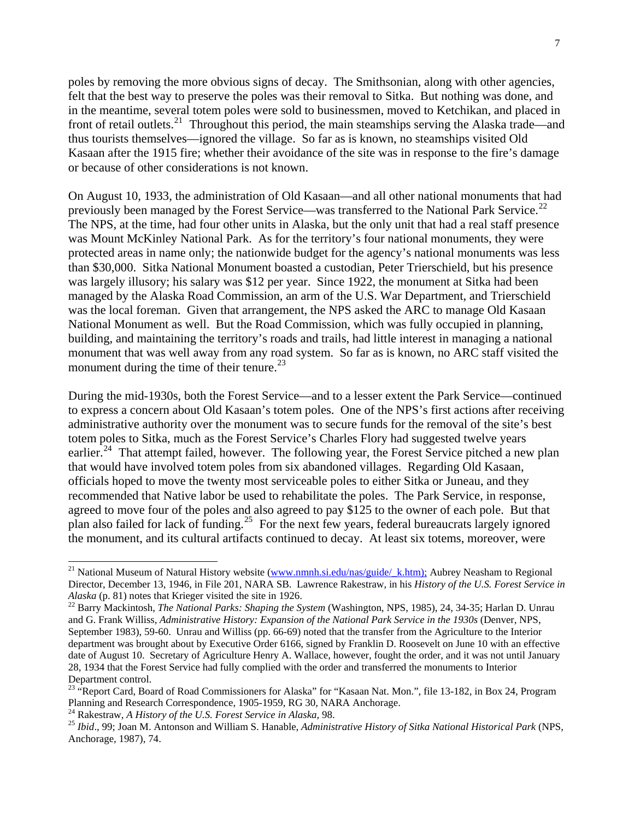poles by removing the more obvious signs of decay. The Smithsonian, along with other agencies, felt that the best way to preserve the poles was their removal to Sitka. But nothing was done, and in the meantime, several totem poles were sold to businessmen, moved to Ketchikan, and placed in front of retail outlets.<sup>[21](#page-7-0)</sup> Throughout this period, the main steamships serving the Alaska trade—and thus tourists themselves—ignored the village. So far as is known, no steamships visited Old Kasaan after the 1915 fire; whether their avoidance of the site was in response to the fire's damage or because of other considerations is not known.

On August 10, 1933, the administration of Old Kasaan—and all other national monuments that had previously been managed by the Forest Service—was transferred to the National Park Service.<sup>[22](#page-7-1)</sup> The NPS, at the time, had four other units in Alaska, but the only unit that had a real staff presence was Mount McKinley National Park. As for the territory's four national monuments, they were protected areas in name only; the nationwide budget for the agency's national monuments was less than \$30,000. Sitka National Monument boasted a custodian, Peter Trierschield, but his presence was largely illusory; his salary was \$12 per year. Since 1922, the monument at Sitka had been managed by the Alaska Road Commission, an arm of the U.S. War Department, and Trierschield was the local foreman. Given that arrangement, the NPS asked the ARC to manage Old Kasaan National Monument as well. But the Road Commission, which was fully occupied in planning, building, and maintaining the territory's roads and trails, had little interest in managing a national monument that was well away from any road system. So far as is known, no ARC staff visited the monument during the time of their tenure. $^{23}$  $^{23}$  $^{23}$ 

During the mid-1930s, both the Forest Service—and to a lesser extent the Park Service—continued to express a concern about Old Kasaan's totem poles. One of the NPS's first actions after receiving administrative authority over the monument was to secure funds for the removal of the site's best totem poles to Sitka, much as the Forest Service's Charles Flory had suggested twelve years earlier.<sup>[24](#page-7-3)</sup> That attempt failed, however. The following year, the Forest Service pitched a new plan that would have involved totem poles from six abandoned villages. Regarding Old Kasaan, officials hoped to move the twenty most serviceable poles to either Sitka or Juneau, and they recommended that Native labor be used to rehabilitate the poles. The Park Service, in response, agreed to move four of the poles and also agreed to pay \$125 to the owner of each pole. But that plan also failed for lack of funding.[25](#page-7-4) For the next few years, federal bureaucrats largely ignored the monument, and its cultural artifacts continued to decay. At least six totems, moreover, were

<span id="page-7-0"></span><sup>&</sup>lt;sup>21</sup> National Museum of Natural History website ([www.nmnh.si.edu/nas/guide/\\_k.htm\);](http://www.nmnh.si.edu/nas/guide/_k.htm);) Aubrey Neasham to Regional Director, December 13, 1946, in File 201, NARA SB. Lawrence Rakestraw, in his *History of the U.S. Forest Service in* 

<span id="page-7-1"></span><sup>&</sup>lt;sup>22</sup> Barry Mackintosh, *The National Parks: Shaping the System* (Washington, NPS, 1985), 24, 34-35; Harlan D. Unrau and G. Frank Williss, *Administrative History: Expansion of the National Park Service in the 1930s* (Denver, NPS, September 1983), 59-60. Unrau and Williss (pp. 66-69) noted that the transfer from the Agriculture to the Interior department was brought about by Executive Order 6166, signed by Franklin D. Roosevelt on June 10 with an effective date of August 10. Secretary of Agriculture Henry A. Wallace, however, fought the order, and it was not until January 28, 1934 that the Forest Service had fully complied with the order and transferred the monuments to Interior Department control.

<span id="page-7-2"></span><sup>&</sup>lt;sup>23</sup> "Report Card, Board of Road Commissioners for Alaska" for "Kasaan Nat. Mon.", file 13-182, in Box 24, Program Planning and Research Correspondence, 1905-1959, RG 30, NARA Anchorage.<br><sup>24</sup> Rakestraw, *A History of the U.S. Forest Service in Alaska*, 98.<br><sup>25</sup> *Ibid.*, 99; Joan M. Antonson and William S. Hanable, Administrative Histor

<span id="page-7-3"></span>

<span id="page-7-4"></span>Anchorage, 1987), 74.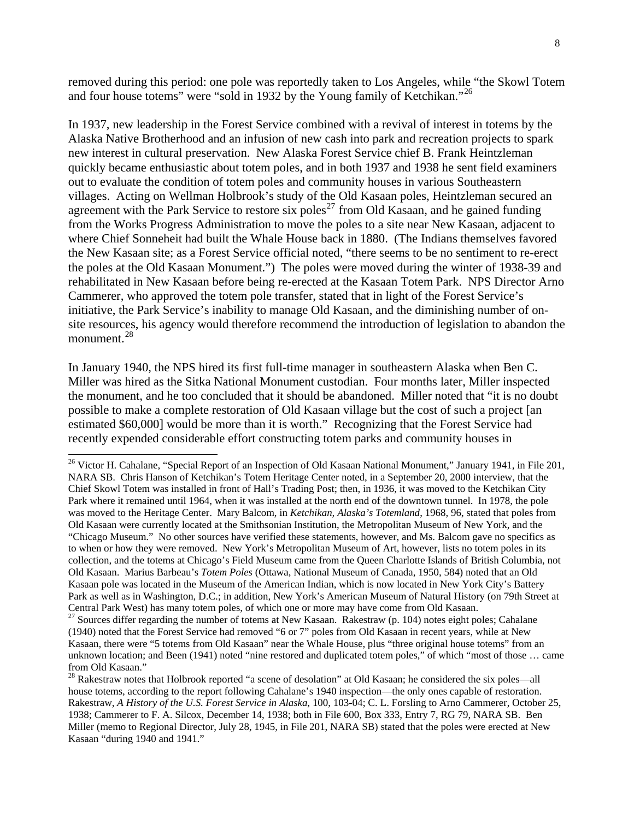removed during this period: one pole was reportedly taken to Los Angeles, while "the Skowl Totem and four house totems" were "sold in 1932 by the Young family of Ketchikan."<sup>[26](#page-8-0)</sup>

In 1937, new leadership in the Forest Service combined with a revival of interest in totems by the Alaska Native Brotherhood and an infusion of new cash into park and recreation projects to spark new interest in cultural preservation. New Alaska Forest Service chief B. Frank Heintzleman quickly became enthusiastic about totem poles, and in both 1937 and 1938 he sent field examiners out to evaluate the condition of totem poles and community houses in various Southeastern villages. Acting on Wellman Holbrook's study of the Old Kasaan poles, Heintzleman secured an agreement with the Park Service to restore six poles<sup>[27](#page-8-1)</sup> from Old Kasaan, and he gained funding from the Works Progress Administration to move the poles to a site near New Kasaan, adjacent to where Chief Sonneheit had built the Whale House back in 1880. (The Indians themselves favored the New Kasaan site; as a Forest Service official noted, "there seems to be no sentiment to re-erect the poles at the Old Kasaan Monument.") The poles were moved during the winter of 1938-39 and rehabilitated in New Kasaan before being re-erected at the Kasaan Totem Park. NPS Director Arno Cammerer, who approved the totem pole transfer, stated that in light of the Forest Service's initiative, the Park Service's inability to manage Old Kasaan, and the diminishing number of onsite resources, his agency would therefore recommend the introduction of legislation to abandon the monument.<sup>[28](#page-8-2)</sup>

In January 1940, the NPS hired its first full-time manager in southeastern Alaska when Ben C. Miller was hired as the Sitka National Monument custodian. Four months later, Miller inspected the monument, and he too concluded that it should be abandoned. Miller noted that "it is no doubt possible to make a complete restoration of Old Kasaan village but the cost of such a project [an estimated \$60,000] would be more than it is worth." Recognizing that the Forest Service had recently expended considerable effort constructing totem parks and community houses in

<span id="page-8-0"></span><sup>&</sup>lt;sup>26</sup> Victor H. Cahalane, "Special Report of an Inspection of Old Kasaan National Monument," January 1941, in File 201, NARA SB. Chris Hanson of Ketchikan's Totem Heritage Center noted, in a September 20, 2000 interview, that the Chief Skowl Totem was installed in front of Hall's Trading Post; then, in 1936, it was moved to the Ketchikan City Park where it remained until 1964, when it was installed at the north end of the downtown tunnel. In 1978, the pole was moved to the Heritage Center. Mary Balcom, in *Ketchikan, Alaska's Totemland*, 1968, 96, stated that poles from Old Kasaan were currently located at the Smithsonian Institution, the Metropolitan Museum of New York, and the "Chicago Museum." No other sources have verified these statements, however, and Ms. Balcom gave no specifics as to when or how they were removed. New York's Metropolitan Museum of Art, however, lists no totem poles in its collection, and the totems at Chicago's Field Museum came from the Queen Charlotte Islands of British Columbia, not Old Kasaan. Marius Barbeau's *Totem Poles* (Ottawa, National Museum of Canada, 1950, 584) noted that an Old Kasaan pole was located in the Museum of the American Indian, which is now located in New York City's Battery Park as well as in Washington, D.C.; in addition, New York's American Museum of Natural History (on 79th Street at Central Park West) has many totem poles, of which one or more may have come from Old Kasaan.

<span id="page-8-1"></span><sup>&</sup>lt;sup>27</sup> Sources differ regarding the number of totems at New Kasaan. Rakestraw (p. 104) notes eight poles; Cahalane (1940) noted that the Forest Service had removed "6 or 7" poles from Old Kasaan in recent years, while at New Kasaan, there were "5 totems from Old Kasaan" near the Whale House, plus "three original house totems" from an unknown location; and Been (1941) noted "nine restored and duplicated totem poles," of which "most of those … came from Old Kasaan."

<span id="page-8-2"></span><sup>&</sup>lt;sup>28</sup> Rakestraw notes that Holbrook reported "a scene of desolation" at Old Kasaan; he considered the six poles—all house totems, according to the report following Cahalane's 1940 inspection—the only ones capable of restoration. Rakestraw, *A History of the U.S. Forest Service in Alaska*, 100, 103-04; C. L. Forsling to Arno Cammerer, October 25, 1938; Cammerer to F. A. Silcox, December 14, 1938; both in File 600, Box 333, Entry 7, RG 79, NARA SB. Ben Miller (memo to Regional Director, July 28, 1945, in File 201, NARA SB) stated that the poles were erected at New Kasaan "during 1940 and 1941."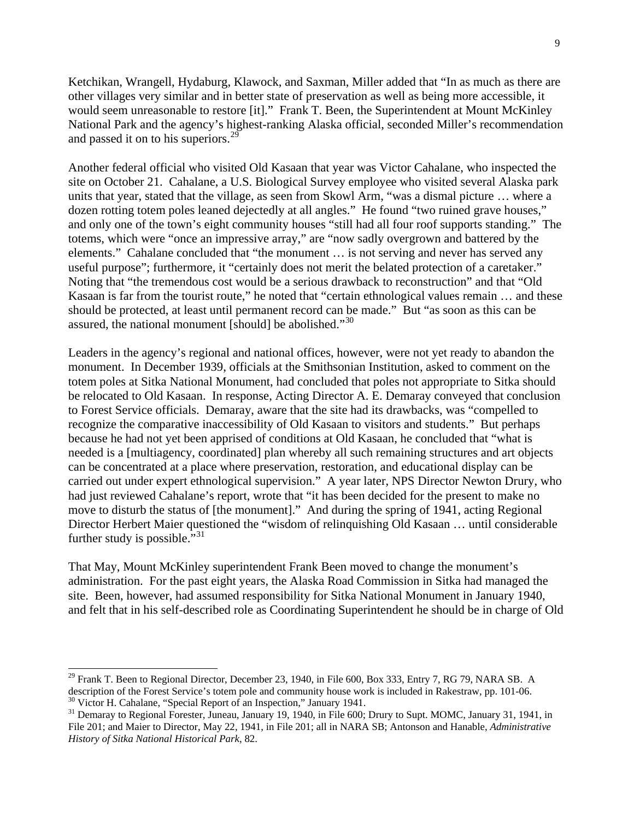Ketchikan, Wrangell, Hydaburg, Klawock, and Saxman, Miller added that "In as much as there are other villages very similar and in better state of preservation as well as being more accessible, it would seem unreasonable to restore [it]." Frank T. Been, the Superintendent at Mount McKinley National Park and the agency's highest-ranking Alaska official, seconded Miller's recommendation and passed it on to his superiors.<sup>[29](#page-9-0)</sup>

Another federal official who visited Old Kasaan that year was Victor Cahalane, who inspected the site on October 21. Cahalane, a U.S. Biological Survey employee who visited several Alaska park units that year, stated that the village, as seen from Skowl Arm, "was a dismal picture … where a dozen rotting totem poles leaned dejectedly at all angles." He found "two ruined grave houses," and only one of the town's eight community houses "still had all four roof supports standing." The totems, which were "once an impressive array," are "now sadly overgrown and battered by the elements." Cahalane concluded that "the monument … is not serving and never has served any useful purpose"; furthermore, it "certainly does not merit the belated protection of a caretaker." Noting that "the tremendous cost would be a serious drawback to reconstruction" and that "Old Kasaan is far from the tourist route," he noted that "certain ethnological values remain … and these should be protected, at least until permanent record can be made." But "as soon as this can be assured, the national monument [should] be abolished."<sup>[30](#page-9-1)</sup>

Leaders in the agency's regional and national offices, however, were not yet ready to abandon the monument. In December 1939, officials at the Smithsonian Institution, asked to comment on the totem poles at Sitka National Monument, had concluded that poles not appropriate to Sitka should be relocated to Old Kasaan. In response, Acting Director A. E. Demaray conveyed that conclusion to Forest Service officials. Demaray, aware that the site had its drawbacks, was "compelled to recognize the comparative inaccessibility of Old Kasaan to visitors and students." But perhaps because he had not yet been apprised of conditions at Old Kasaan, he concluded that "what is needed is a [multiagency, coordinated] plan whereby all such remaining structures and art objects can be concentrated at a place where preservation, restoration, and educational display can be carried out under expert ethnological supervision." A year later, NPS Director Newton Drury, who had just reviewed Cahalane's report, wrote that "it has been decided for the present to make no move to disturb the status of [the monument]." And during the spring of 1941, acting Regional Director Herbert Maier questioned the "wisdom of relinquishing Old Kasaan … until considerable further study is possible." $31$ 

That May, Mount McKinley superintendent Frank Been moved to change the monument's administration. For the past eight years, the Alaska Road Commission in Sitka had managed the site. Been, however, had assumed responsibility for Sitka National Monument in January 1940, and felt that in his self-described role as Coordinating Superintendent he should be in charge of Old

 $\overline{a}$ 

<span id="page-9-0"></span> $^{29}$  Frank T. Been to Regional Director, December 23, 1940, in File 600, Box 333, Entry 7, RG 79, NARA SB. A description of the Forest Service's totem pole and community house work is included in Rakestraw, pp. 101-06.<br><sup>30</sup> Victor H. Cahalane, "Special Report of an Inspection," January 1941.

<span id="page-9-2"></span><span id="page-9-1"></span><sup>&</sup>lt;sup>31</sup> Demaray to Regional Forester, Juneau, January 19, 1940, in File 600; Drury to Supt. MOMC, January 31, 1941, in File 201; and Maier to Director, May 22, 1941, in File 201; all in NARA SB; Antonson and Hanable, *Administrative History of Sitka National Historical Park*, 82.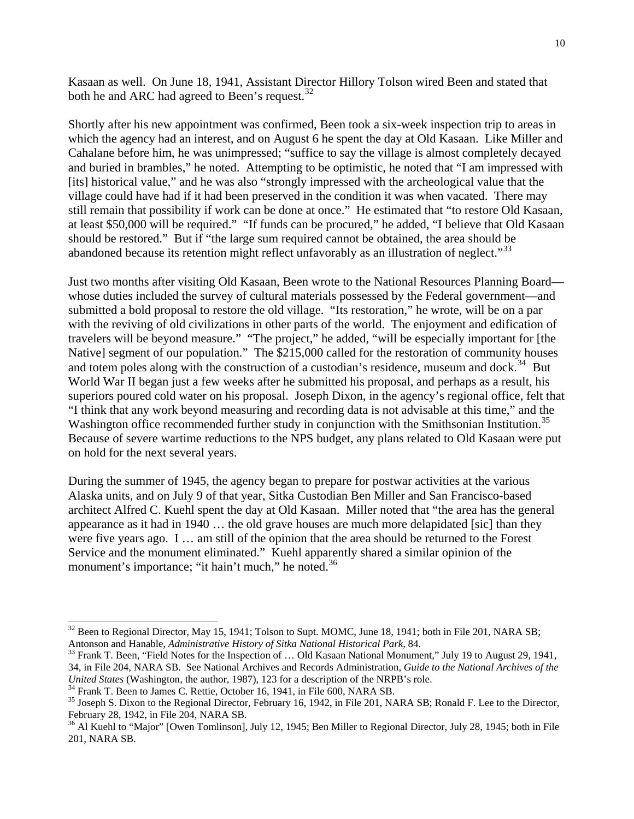Kasaan as well. On June 18, 1941, Assistant Director Hillory Tolson wired Been and stated that both he and ARC had agreed to Been's request.<sup>[32](#page-10-0)</sup>

Shortly after his new appointment was confirmed, Been took a six-week inspection trip to areas in which the agency had an interest, and on August 6 he spent the day at Old Kasaan. Like Miller and Cahalane before him, he was unimpressed; "suffice to say the village is almost completely decayed and buried in brambles," he noted. Attempting to be optimistic, he noted that "I am impressed with [its] historical value," and he was also "strongly impressed with the archeological value that the village could have had if it had been preserved in the condition it was when vacated. There may still remain that possibility if work can be done at once." He estimated that "to restore Old Kasaan, at least \$50,000 will be required." "If funds can be procured," he added, "I believe that Old Kasaan should be restored." But if "the large sum required cannot be obtained, the area should be abandoned because its retention might reflect unfavorably as an illustration of neglect."<sup>[33](#page-10-1)</sup>

Just two months after visiting Old Kasaan, Been wrote to the National Resources Planning Board whose duties included the survey of cultural materials possessed by the Federal government—and submitted a bold proposal to restore the old village. "Its restoration," he wrote, will be on a par with the reviving of old civilizations in other parts of the world. The enjoyment and edification of travelers will be beyond measure." "The project," he added, "will be especially important for [the Native] segment of our population." The \$215,000 called for the restoration of community houses and totem poles along with the construction of a custodian's residence, museum and dock.<sup>[34](#page-10-2)</sup> But World War II began just a few weeks after he submitted his proposal, and perhaps as a result, his superiors poured cold water on his proposal. Joseph Dixon, in the agency's regional office, felt that "I think that any work beyond measuring and recording data is not advisable at this time," and the Washington office recommended further study in conjunction with the Smithsonian Institution.<sup>[35](#page-10-3)</sup> Because of severe wartime reductions to the NPS budget, any plans related to Old Kasaan were put on hold for the next several years.

During the summer of 1945, the agency began to prepare for postwar activities at the various Alaska units, and on July 9 of that year, Sitka Custodian Ben Miller and San Francisco-based architect Alfred C. Kuehl spent the day at Old Kasaan. Miller noted that "the area has the general appearance as it had in 1940 … the old grave houses are much more delapidated [sic] than they were five years ago. I … am still of the opinion that the area should be returned to the Forest Service and the monument eliminated." Kuehl apparently shared a similar opinion of the monument's importance; "it hain't much," he noted.<sup>[36](#page-10-4)</sup>

<span id="page-10-0"></span> $32$  Been to Regional Director, May 15, 1941; Tolson to Supt. MOMC, June 18, 1941; both in File 201, NARA SB; Antonson and Hanable, *Administrative History of Sitka National Historical Park*, 84.

<span id="page-10-1"></span><sup>&</sup>lt;sup>33</sup> Frank T. Been, "Field Notes for the Inspection of ... Old Kasaan National Monument," July 19 to August 29, 1941, 34, in File 204, NARA SB. See National Archives and Records Administration, *Guide to the National Archives of the United States* (Washington, the author, 1987), 123 for a description of the NRPB's role. <sup>34</sup> Frank T. Been to James C. Rettie, October 16, 1941, in File 600, NARA SB.

<span id="page-10-2"></span>

<span id="page-10-3"></span><sup>&</sup>lt;sup>35</sup> Joseph S. Dixon to the Regional Director, February 16, 1942, in File 201, NARA SB; Ronald F. Lee to the Director, February 28, 1942, in File 204, NARA SB.

<span id="page-10-4"></span><sup>&</sup>lt;sup>36</sup> Al Kuehl to "Major" [Owen Tomlinson], July 12, 1945; Ben Miller to Regional Director, July 28, 1945; both in File 201, NARA SB.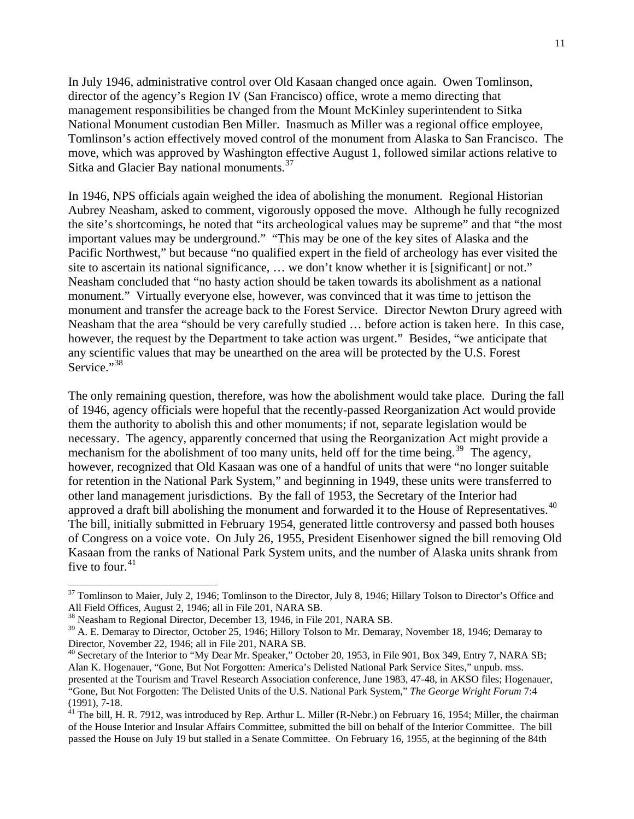In July 1946, administrative control over Old Kasaan changed once again. Owen Tomlinson, director of the agency's Region IV (San Francisco) office, wrote a memo directing that management responsibilities be changed from the Mount McKinley superintendent to Sitka National Monument custodian Ben Miller. Inasmuch as Miller was a regional office employee, Tomlinson's action effectively moved control of the monument from Alaska to San Francisco. The move, which was approved by Washington effective August 1, followed similar actions relative to Sitka and Glacier Bay national monuments.<sup>[37](#page-11-0)</sup>

In 1946, NPS officials again weighed the idea of abolishing the monument. Regional Historian Aubrey Neasham, asked to comment, vigorously opposed the move. Although he fully recognized the site's shortcomings, he noted that "its archeological values may be supreme" and that "the most important values may be underground." "This may be one of the key sites of Alaska and the Pacific Northwest," but because "no qualified expert in the field of archeology has ever visited the site to ascertain its national significance, ... we don't know whether it is [significant] or not." Neasham concluded that "no hasty action should be taken towards its abolishment as a national monument." Virtually everyone else, however, was convinced that it was time to jettison the monument and transfer the acreage back to the Forest Service. Director Newton Drury agreed with Neasham that the area "should be very carefully studied … before action is taken here. In this case, however, the request by the Department to take action was urgent." Besides, "we anticipate that any scientific values that may be unearthed on the area will be protected by the U.S. Forest Service."<sup>[38](#page-11-1)</sup>

The only remaining question, therefore, was how the abolishment would take place. During the fall of 1946, agency officials were hopeful that the recently-passed Reorganization Act would provide them the authority to abolish this and other monuments; if not, separate legislation would be necessary. The agency, apparently concerned that using the Reorganization Act might provide a mechanism for the abolishment of too many units, held off for the time being.<sup>[39](#page-11-2)</sup> The agency, however, recognized that Old Kasaan was one of a handful of units that were "no longer suitable for retention in the National Park System," and beginning in 1949, these units were transferred to other land management jurisdictions. By the fall of 1953, the Secretary of the Interior had approved a draft bill abolishing the monument and forwarded it to the House of Representatives.<sup>[40](#page-11-3)</sup> The bill, initially submitted in February 1954, generated little controversy and passed both houses of Congress on a voice vote. On July 26, 1955, President Eisenhower signed the bill removing Old Kasaan from the ranks of National Park System units, and the number of Alaska units shrank from five to four. $41$ 

<span id="page-11-0"></span> $37$  Tomlinson to Maier, July 2, 1946; Tomlinson to the Director, July 8, 1946; Hillary Tolson to Director's Office and All Field Offices, August 2, 1946; all in File 201, NARA SB.

<span id="page-11-1"></span><sup>&</sup>lt;sup>38</sup> Neasham to Regional Director, December 13, 1946, in File 201, NARA SB.

<span id="page-11-2"></span><sup>&</sup>lt;sup>39</sup> A. E. Demaray to Director, October 25, 1946; Hillory Tolson to Mr. Demaray, November 18, 1946; Demaray to Director, November 22, 1946; all in File 201, NARA SB.

<span id="page-11-3"></span><sup>&</sup>lt;sup>40</sup> Secretary of the Interior to "My Dear Mr. Speaker," October 20, 1953, in File 901, Box 349, Entry 7, NARA SB; Alan K. Hogenauer, "Gone, But Not Forgotten: America's Delisted National Park Service Sites," unpub. mss. presented at the Tourism and Travel Research Association conference, June 1983, 47-48, in AKSO files; Hogenauer, "Gone, But Not Forgotten: The Delisted Units of the U.S. National Park System," *The George Wright Forum* 7:4 (1991), 7-18.

<span id="page-11-4"></span> $41$  The bill, H. R. 7912, was introduced by Rep. Arthur L. Miller (R-Nebr.) on February 16, 1954; Miller, the chairman of the House Interior and Insular Affairs Committee, submitted the bill on behalf of the Interior Committee. The bill passed the House on July 19 but stalled in a Senate Committee. On February 16, 1955, at the beginning of the 84th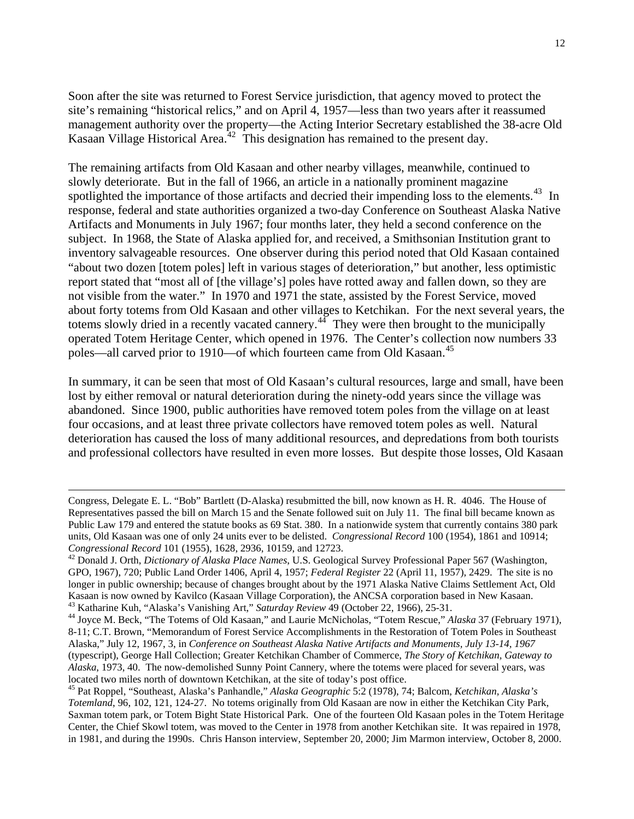Soon after the site was returned to Forest Service jurisdiction, that agency moved to protect the site's remaining "historical relics," and on April 4, 1957—less than two years after it reassumed management authority over the property—the Acting Interior Secretary established the 38-acre Old Kasaan Village Historical Area.<sup>[42](#page-12-0)</sup> This designation has remained to the present day.

The remaining artifacts from Old Kasaan and other nearby villages, meanwhile, continued to slowly deteriorate. But in the fall of 1966, an article in a nationally prominent magazine spotlighted the importance of those artifacts and decried their impending loss to the elements.<sup>[43](#page-12-1)</sup> In response, federal and state authorities organized a two-day Conference on Southeast Alaska Native Artifacts and Monuments in July 1967; four months later, they held a second conference on the subject. In 1968, the State of Alaska applied for, and received, a Smithsonian Institution grant to inventory salvageable resources. One observer during this period noted that Old Kasaan contained "about two dozen [totem poles] left in various stages of deterioration," but another, less optimistic report stated that "most all of [the village's] poles have rotted away and fallen down, so they are not visible from the water." In 1970 and 1971 the state, assisted by the Forest Service, moved about forty totems from Old Kasaan and other villages to Ketchikan. For the next several years, the totems slowly dried in a recently vacated cannery.<sup>[44](#page-12-2)</sup> They were then brought to the municipally operated Totem Heritage Center, which opened in 1976. The Center's collection now numbers 33 poles—all carved prior to 1910—of which fourteen came from Old Kasaan.<sup>[45](#page-12-3)</sup>

In summary, it can be seen that most of Old Kasaan's cultural resources, large and small, have been lost by either removal or natural deterioration during the ninety-odd years since the village was abandoned. Since 1900, public authorities have removed totem poles from the village on at least four occasions, and at least three private collectors have removed totem poles as well. Natural deterioration has caused the loss of many additional resources, and depredations from both tourists and professional collectors have resulted in even more losses. But despite those losses, Old Kasaan

Congress, Delegate E. L. "Bob" Bartlett (D-Alaska) resubmitted the bill, now known as H. R. 4046. The House of Representatives passed the bill on March 15 and the Senate followed suit on July 11. The final bill became known as Public Law 179 and entered the statute books as 69 Stat. 380. In a nationwide system that currently contains 380 park units, Old Kasaan was one of only 24 units ever to be delisted. *Congressional Record* 100 (1954), 1861 and 10914; *Congressional Record* 101 (1955), 1628, 2936, 10159, and 12723. 42 Donald J. Orth, *Dictionary of Alaska Place Names*, U.S. Geological Survey Professional Paper 567 (Washington,

<span id="page-12-0"></span>GPO, 1967), 720; Public Land Order 1406, April 4, 1957; *Federal Register* 22 (April 11, 1957), 2429. The site is no longer in public ownership; because of changes brought about by the 1971 Alaska Native Claims Settlement Act, Old Kasaan is now owned by Kavilco (Kasaan Village Corporation), the ANCSA corporation based in New Kasaan.<br><sup>43</sup> Katharine Kuh, "Alaska's Vanishing Art," Saturday Review 49 (October 22, 1966), 25-31.<br><sup>44</sup> Joyce M. Beck, "The T

<span id="page-12-2"></span><span id="page-12-1"></span><sup>8-11;</sup> C.T. Brown, "Memorandum of Forest Service Accomplishments in the Restoration of Totem Poles in Southeast Alaska," July 12, 1967, 3, in *Conference on Southeast Alaska Native Artifacts and Monuments, July 13-14, 1967* (typescript), George Hall Collection; Greater Ketchikan Chamber of Commerce, *The Story of Ketchikan, Gateway to Alaska*, 1973, 40. The now-demolished Sunny Point Cannery, where the totems were placed for several years, was located two miles north of downtown Ketchikan, at the site of today's post office. 45 Pat Roppel, "Southeast, Alaska's Panhandle," *Alaska Geographic* 5:2 (1978), 74; Balcom, *Ketchikan, Alaska's* 

<span id="page-12-3"></span>*Totemland*, 96, 102, 121, 124-27. No totems originally from Old Kasaan are now in either the Ketchikan City Park, Saxman totem park, or Totem Bight State Historical Park. One of the fourteen Old Kasaan poles in the Totem Heritage Center, the Chief Skowl totem, was moved to the Center in 1978 from another Ketchikan site. It was repaired in 1978, in 1981, and during the 1990s. Chris Hanson interview, September 20, 2000; Jim Marmon interview, October 8, 2000.